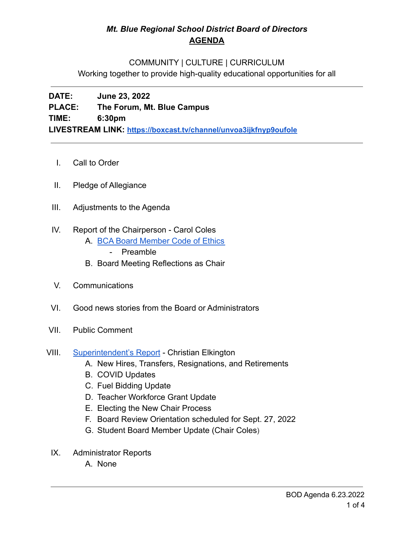## *Mt. Blue Regional School District Board of Directors* **AGENDA**

## COMMUNITY | CULTURE | CURRICULUM

Working together to provide high-quality educational opportunities for all

**DATE: June 23, 2022 PLACE: The Forum, Mt. Blue Campus TIME: 6:30pm LIVESTREAM LINK: <https://boxcast.tv/channel/unvoa3ijkfnyp9oufole>**

- I. Call to Order
- II. Pledge of Allegiance
- III. Adjustments to the Agenda
- IV. Report of the Chairperson Carol Coles
	- A. [BCA Board Member Code of Ethics](https://cdn.branchcms.com/yeQ4XpK43n-1155/docs/district/board-of-directors/policy-manual/section-b/BCA-Board-Member-Code-of-Ethics.pdf)
		- Preamble
	- B. Board Meeting Reflections as Chair
- V. Communications
- VI. Good news stories from the Board or Administrators
- VII. Public Comment
- VIII. [Superintendent's Report](https://drive.google.com/file/d/15ik4hDQe9esv9afXSZbCm-phAqfYQN_K/view?usp=sharing) Christian Elkington
	- A. New Hires, Transfers, Resignations, and Retirements
	- B. COVID Updates
	- C. Fuel Bidding Update
	- D. Teacher Workforce Grant Update
	- E. Electing the New Chair Process
	- F. Board Review Orientation scheduled for Sept. 27, 2022
	- G. Student Board Member Update (Chair Coles)
	- IX. Administrator Reports
		- A. None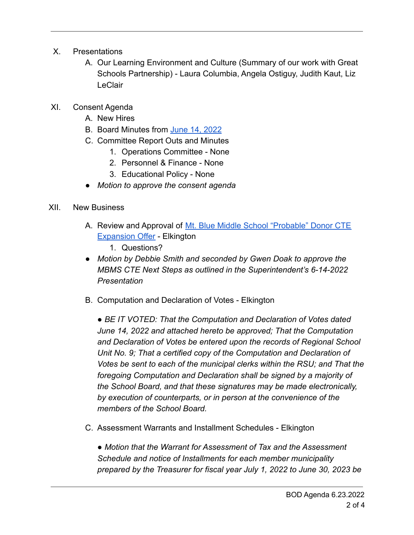- X. Presentations
	- A. Our Learning Environment and Culture (Summary of our work with Great Schools Partnership) - Laura Columbia, Angela Ostiguy, Judith Kaut, Liz **LeClair**
- XI. Consent Agenda
	- A. New Hires
	- B. Board Minutes from [June 14, 2022](https://drive.google.com/file/d/1xM5Dpwd3i0qbak6B5B_2RjTUS0Kmn5rV/view?usp=sharing)
	- C. Committee Report Outs and Minutes
		- 1. Operations Committee None
		- 2. Personnel & Finance None
		- 3. Educational Policy None
	- *Motion to approve the consent agenda*
- XII. New Business
	- A. Review and Approval of [Mt. Blue Middle School "Probable"](https://drive.google.com/file/d/1eRwwchq4JLlpe-no1NDnzOc3d7FDGoSD/view?usp=sharing) Donor CTE [Expansion Offer](https://drive.google.com/file/d/1eRwwchq4JLlpe-no1NDnzOc3d7FDGoSD/view?usp=sharing) - Elkington
		- 1. Questions?
	- *● Motion by Debbie Smith and seconded by Gwen Doak to approve the MBMS CTE Next Steps as outlined in the Superintendent's 6-14-2022 Presentation*
	- B. Computation and Declaration of Votes Elkington

*● BE IT VOTED: That the Computation and Declaration of Votes dated June 14, 2022 and attached hereto be approved; That the Computation and Declaration of Votes be entered upon the records of Regional School Unit No. 9; That a certified copy of the Computation and Declaration of Votes be sent to each of the municipal clerks within the RSU; and That the foregoing Computation and Declaration shall be signed by a majority of the School Board, and that these signatures may be made electronically, by execution of counterparts, or in person at the convenience of the members of the School Board.*

C. Assessment Warrants and Installment Schedules - Elkington

*● Motion that the Warrant for Assessment of Tax and the Assessment Schedule and notice of Installments for each member municipality prepared by the Treasurer for fiscal year July 1, 2022 to June 30, 2023 be*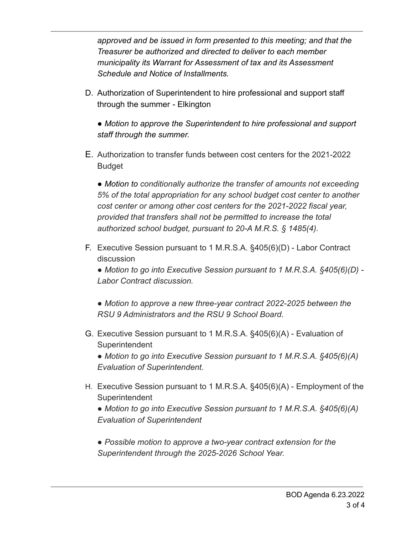*approved and be issued in form presented to this meeting; and that the Treasurer be authorized and directed to deliver to each member municipality its Warrant for Assessment of tax and its Assessment Schedule and Notice of Installments.*

D. Authorization of Superintendent to hire professional and support staff through the summer - Elkington

*● Motion to approve the Superintendent to hire professional and support staff through the summer.*

E. Authorization to transfer funds between cost centers for the 2021-2022 Budget

*● Motion to conditionally authorize the transfer of amounts not exceeding 5% of the total appropriation for any school budget cost center to another cost center or among other cost centers for the 2021-2022 fiscal year, provided that transfers shall not be permitted to increase the total authorized school budget, pursuant to 20-A M.R.S. § 1485(4).*

F. Executive Session pursuant to 1 M.R.S.A. §405(6)(D) - Labor Contract discussion

*● Motion to go into Executive Session pursuant to 1 M.R.S.A. §405(6)(D) - Labor Contract discussion.*

*● Motion to approve a new three-year contract 2022-2025 between the RSU 9 Administrators and the RSU 9 School Board.*

G. Executive Session pursuant to 1 M.R.S.A. §405(6)(A) - Evaluation of **Superintendent** 

*● Motion to go into Executive Session pursuant to 1 M.R.S.A. §405(6)(A) Evaluation of Superintendent.*

H. Executive Session pursuant to 1 M.R.S.A. §405(6)(A) - Employment of the **Superintendent** 

*● Motion to go into Executive Session pursuant to 1 M.R.S.A. §405(6)(A) Evaluation of Superintendent*

*● Possible motion to approve a two-year contract extension for the Superintendent through the 2025-2026 School Year.*